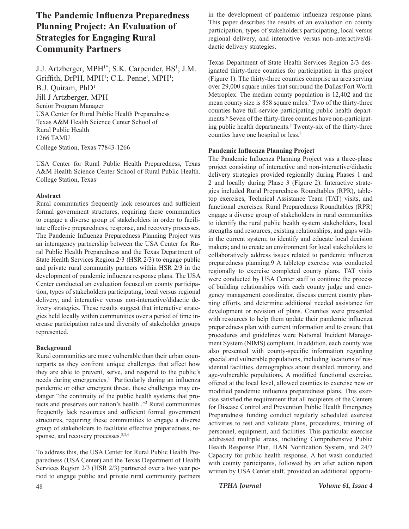# **The Pandemic Influenza Preparedness Planning Project: An Evaluation of Strategies for Engaging Rural Community Partners**

J.J. Artzberger, MPH<sup>1\*</sup>; S.K. Carpender, BS<sup>1</sup>; J.M. Griffith, DrPH, MPH<sup>1</sup>; C.L. Penne<sup>1</sup>, MPH<sup>1</sup>; B.J. Quiram, PhD1 Jill J Artzberger, MPH Senior Program Manager USA Center for Rural Public Health Preparedness Texas A&M Health Science Center School of Rural Public Health 1266 TAMU College Station, Texas 77843-1266

USA Center for Rural Public Health Preparedness, Texas A&M Health Science Center School of Rural Public Health. College Station, Texas<sup>1</sup>

## **Abstract**

Rural communities frequently lack resources and sufficient formal government structures, requiring these communities to engage a diverse group of stakeholders in order to facilitate effective preparedness, response, and recovery processes. The Pandemic Influenza Preparedness Planning Project was an interagency partnership between the USA Center for Rural Public Health Preparedness and the Texas Department of State Health Services Region 2/3 (HSR 2/3) to engage public and private rural community partners within HSR 2/3 in the development of pandemic influenza response plans. The USA Center conducted an evaluation focused on county participation, types of stakeholders participating, local versus regional delivery, and interactive versus non-interactive/didactic delivery strategies. These results suggest that interactive strategies held locally within communities over a period of time increase participation rates and diversity of stakeholder groups represented.

## **Background**

Rural communities are more vulnerable than their urban counterparts as they confront unique challenges that affect how they are able to prevent, serve, and respond to the public's needs during emergencies.<sup>1</sup> Particularly during an influenza pandemic or other emergent threat, these challenges may endanger "the continuity of the public health systems that protects and preserves our nation's health ."2 Rural communities frequently lack resources and sufficient formal government structures, requiring these communities to engage a diverse group of stakeholders to facilitate effective preparedness, response, and recovery processes.<sup>2,3,4</sup>

48 *TPHA Journal Volume 61, Issue 4* To address this, the USA Center for Rural Public Health Preparedness (USA Center) and the Texas Department of Health Services Region 2/3 (HSR 2/3) partnered over a two year period to engage public and private rural community partners

in the development of pandemic influenza response plans. This paper describes the results of an evaluation on county participation, types of stakeholders participating, local versus regional delivery, and interactive versus non-interactive/didactic delivery strategies.

Texas Department of State Health Services Region 2/3 designated thirty-three counties for participation in this project (Figure 1). The thirty-three counties comprise an area serving over 29,000 square miles that surround the Dallas/Fort Worth Metroplex. The median county population is 12,402 and the mean county size is 858 square miles.<sup>5</sup> Two of the thirty-three counties have full-service participating public health departments.<sup>6</sup> Seven of the thirty-three counties have non-participating public health departments.7 Twenty-six of the thirty-three counties have one hospital or less.<sup>8</sup>

## **Pandemic Influenza Planning Project**

The Pandemic Influenza Planning Project was a three-phase project consisting of interactive and non-interactive/didactic delivery strategies provided regionally during Phases 1 and 2 and locally during Phase 3 (Figure 2). Interactive strategies included Rural Preparedness Roundtables (RPR), tabletop exercises, Technical Assistance Team (TAT) visits, and functional exercises. Rural Preparedness Roundtables (RPR) engage a diverse group of stakeholders in rural communities to identify the rural public health system stakeholders, local strengths and resources, existing relationships, and gaps within the current system; to identify and educate local decision makers; and to create an environment for local stakeholders to collaboratively address issues related to pandemic influenza preparedness planning.9 A tabletop exercise was conducted regionally to exercise completed county plans. TAT visits were conducted by USA Center staff to continue the process of building relationships with each county judge and emergency management coordinator, discuss current county planning efforts, and determine additional needed assistance for development or revision of plans. Counties were presented with resources to help them update their pandemic influenza preparedness plan with current information and to ensure that procedures and guidelines were National Incident Management System (NIMS) compliant. In addition, each county was also presented with county-specific information regarding special and vulnerable populations, including locations of residential facilities, demographics about disabled, minority, and age-vulnerable populations. A modified functional exercise, offered at the local level, allowed counties to exercise new or modified pandemic influenza preparedness plans. This exercise satisfied the requirement that all recipients of the Centers for Disease Control and Prevention Public Health Emergency Preparedness funding conduct regularly scheduled exercise activities to test and validate plans, procedures, training of personnel, equipment, and facilities. This particular exercise addressed multiple areas, including Comprehensive Public Health Response Plan, HAN Notification System, and 24/7 Capacity for public health response. A hot wash conducted with county participants, followed by an after action report written by USA Center staff, provided an additional opportu-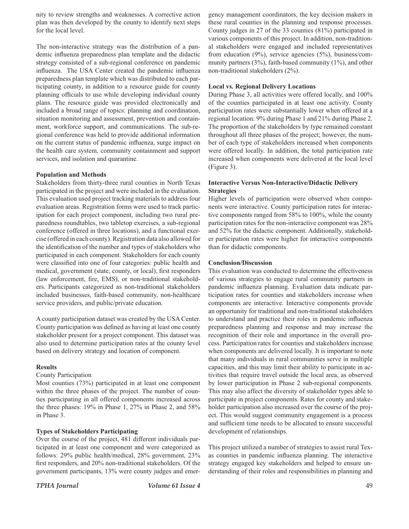nity to review strengths and weaknesses. A corrective action plan was then developed by the county to identify next steps for the local level.

The non-interactive strategy was the distribution of a pandemic influenza preparedness plan template and the didactic strategy consisted of a sub-regional conference on pandemic influenza. The USA Center created the pandemic influenza preparedness plan template which was distributed to each participating county, in addition to a resource guide for county planning officials to use while developing individual county plans. The resource guide was provided electronically and included a broad range of topics: planning and coordination, situation monitoring and assessment, prevention and containment, workforce support, and communications. The sub-regional conference was held to provide additional information on the current status of pandemic influenza, surge impact on the health care system, community containment and support services, and isolation and quarantine.

## **Population and Methods**

Stakeholders from thirty-three rural counties in North Texas participated in the project and were included in the evaluation. This evaluation used project tracking materials to address four evaluation areas. Registration forms were used to track participation for each project component, including two rural preparedness roundtables, two tabletop exercises, a sub-regional conference (offered in three locations), and a functional exercise (offered in each county). Registration data also allowed for the identification of the number and types of stakeholders who participated in each component. Stakeholders for each county were classified into one of four categories: public health and medical, government (state, county, or local), first responders (law enforcement, fire, EMS), or non-traditional stakeholders. Participants categorized as non-traditional stakeholders included businesses, faith-based community, non-healthcare service providers, and public/private education.

A county participation dataset was created by the USA Center. County participation was defined as having at least one county stakeholder present for a project component. This dataset was also used to determine participation rates at the county level based on delivery strategy and location of component.

#### **Results**

#### County Participation

Most counties (73%) participated in at least one component within the three phases of the project. The number of counties participating in all offered components increased across the three phases: 19% in Phase 1, 27% in Phase 2, and 58% in Phase 3.

#### **Types of Stakeholders Participating**

Over the course of the project, 481 different individuals participated in at least one component and were categorized as follows: 29% public health/medical, 28% government, 23% first responders, and 20% non-traditional stakeholders. Of the government participants, 13% were county judges and emer-

gency management coordinators, the key decision makers in these rural counties in the planning and response processes. County judges in 27 of the 33 counties (81%) participated in various components of this project. In addition, non-traditional stakeholders were engaged and included representatives from education (9%), service agencies (5%), business/community partners (3%), faith-based community (1%), and other non-traditional stakeholders (2%).

#### **Local vs. Regional Delivery Locations**

During Phase 3, all activities were offered locally, and 100% of the counties participated in at least one activity. County participation rates were substantially lower when offered at a regional location: 9% during Phase 1 and 21% during Phase 2. The proportion of the stakeholders by type remained constant throughout all three phases of the project; however, the number of each type of stakeholders increased when components were offered locally. In addition, the total participation rate increased when components were delivered at the local level (Figure 3).

## **Interactive Versus Non-Interactive/Didactic Delivery Strategies**

Higher levels of participation were observed when components were interactive. County participation rates for interactive components ranged from 58% to 100%, while the county participation rates for the non-interactive component was 28% and 52% for the didactic component. Additionally, stakeholder participation rates were higher for interactive components than for didactic components.

#### **Conclusion/Discussion**

This evaluation was conducted to determine the effectiveness of various strategies to engage rural community partners in pandemic influenza planning. Evaluation data indicate participation rates for counties and stakeholders increase when components are interactive. Interactive components provide an opportunity for traditional and non-traditional stakeholders to understand and practice their roles in pandemic influenza preparedness planning and response and may increase the recognition of their role and importance in the overall process. Participation rates for counties and stakeholders increase when components are delivered locally. It is important to note that many individuals in rural communities serve in multiple capacities, and this may limit their ability to participate in activities that require travel outside the local area, as observed by lower participation in Phase 2 sub-regional components. This may also affect the diversity of stakeholder types able to participate in project components. Rates for county and stakeholder participation also increased over the course of the project. This would suggest community engagement is a process and sufficient time needs to be allocated to ensure successful development of relationships.

This project utilized a number of strategies to assist rural Texas counties in pandemic influenza planning. The interactive strategy engaged key stakeholders and helped to ensure understanding of their roles and responsibilities in planning and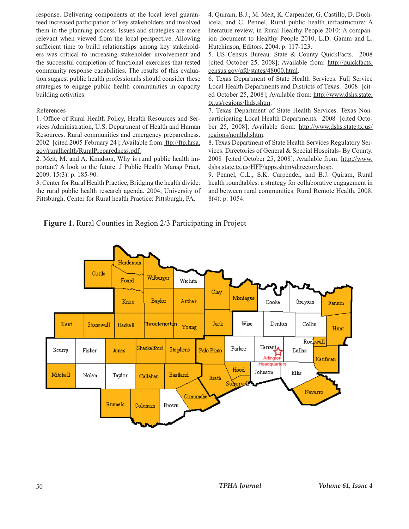response. Delivering components at the local level guaranteed increased participation of key stakeholders and involved them in the planning process. Issues and strategies are more relevant when viewed from the local perspective. Allowing sufficient time to build relationships among key stakeholders was critical to increasing stakeholder involvement and the successful completion of functional exercises that tested community response capabilities. The results of this evaluation suggest public health professionals should consider these strategies to engage public health communities in capacity building activities.

## References

1. Office of Rural Health Policy, Health Resources and Services Administration, U.S. Department of Health and Human Resources. Rural communities and emergency preparedness. 2002 [cited 2005 February 24]; Available from: ftp://ftp.hrsa. gov/ruralhealth/RuralPreparedness.pdf.

2. Meit, M. and A. Knudson, Why is rural public health important? A look to the future. J Public Health Manag Pract, 2009. 15(3): p. 185-90.

3. Center for Rural Health Practice, Bridging the health divide: the rural public health research agenda. 2004, University of Pittsburgh, Center for Rural health Practice: Pittsburgh, PA.

4. Quiram, B.J., M. Meit, K. Carpender, G. Castillo, D. Duchicela, and C. Pennel, Rural public health infrastructure: A literature review, in Rural Healthy People 2010: A companion document to Healthy People 2010, L.D. Gamm and L. Hutchinson, Editors. 2004. p. 117-123.

5. US Census Bureau. State & County QuickFacts. 2008 [cited October 25, 2008]; Available from: http://quickfacts. census.gov/qfd/states/48000.html.

6. Texas Department of State Health Services. Full Service Local Health Departments and Districts of Texas. 2008 [cited October 25, 2008]; Available from: http://www.dshs.state. tx.us/regions/lhds.shtm.

7. Texas Department of State Health Services. Texas Nonparticipating Local Health Departments. 2008 [cited October 25, 2008]; Available from: http://www.dshs.state.tx.us/ regions/nonlhd.shtm.

8. Texas Department of State Health Services Regulatory Services. Directories of General & Special Hospitals- By County. 2008 [cited October 25, 2008]; Available from: http://www. dshs.state.tx.us/HFP/apps.shtm#directoryhosp.

9. Pennel, C.L., S.K. Carpender, and B.J. Quiram, Rural health roundtables: a strategy for collaborative engagement in and between rural communities. Rural Remote Health, 2008. 8(4): p. 1054.

**Figure 1.** Rural Counties in Region 2/3 Participating in Project